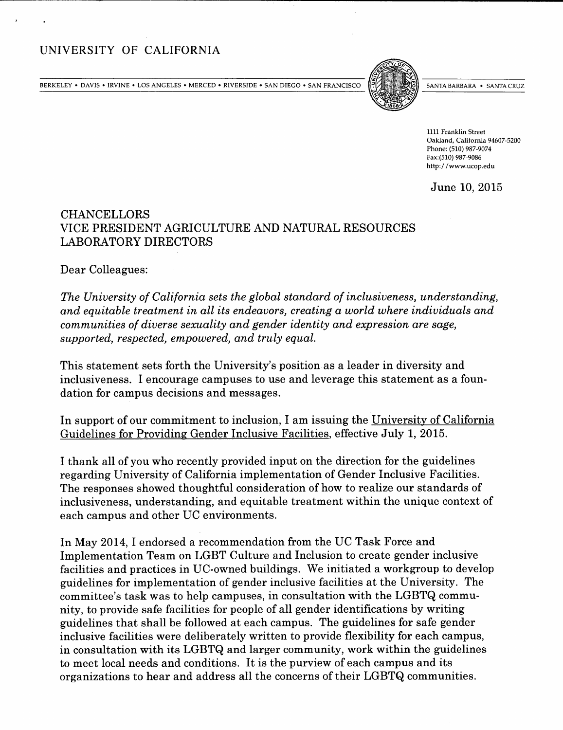# UNIVERSITY OF CALIFORNIA

BERKELEY • DAVIS • IRVINE • LOS ANGELES • MERCED • RIVERSIDE • SAN DIEGO • SAN FRANCISCO  $\|\cdot\|$  anta barbara • Santa cruz



1111 Franklin Street Oakland, California 94607-5200 Phone: (510) 987-9074 Fax:(510) 987-9086 http: //www. ucop. edu

June 10, 2015

## CHANCELLORS VICE PRESIDENT AGRICULTURE AND NATURAL RESOURCES LABORATORY DIRECTORS

Dear Colleagues:

The University of California sets the global standard of inclusiveness, understanding, and equitable treatment in all its endeavors, creating a world where individuals and communities of diverse sexuality and gender identity and expression are sage, supported, respected, empowered, and truly equal.

This statement sets forth the University's position as a leader in diversity and inclusiveness. I encourage campuses to use and leverage this statement as a foundation for campus decisions and messages.

In support of our commitment to inclusion, I am issuing the University of California Guidelines for Providing Gender Inclusive Facilities, effective July 1, 2015.

I thank all of you who recently provided input on the direction for the guidelines regarding University of California implementation of Gender Inclusive Facilities. The responses showed thoughtful consideration of how to realize our standards of inclusiveness, understanding, and equitable treatment within the unique context of each campus and other UC environments.

In May 2014, I endorsed a recommendation from the UC Task Force and Implementation Team on LGBT Culture and Inclusion to create gender inclusive facilities and practices in UC-owned buildings. We initiated a workgroup to develop guidelines for implementation of gender inclusive facilities at the University. The committee's task was to help campuses, in consultation with the LGBTQ community, to provide safe facilities for people of all gender identifications by writing guidelines that shall be followed at each campus. The guidelines for safe gender inclusive facilities were deliberately written to provide flexibility for each campus, in consultation with its LGBTQ and larger community, work within the guidelines to meet local needs and conditions. It is the purview of each campus and its organizations to hear and address all the concerns of their LGBTQ communities.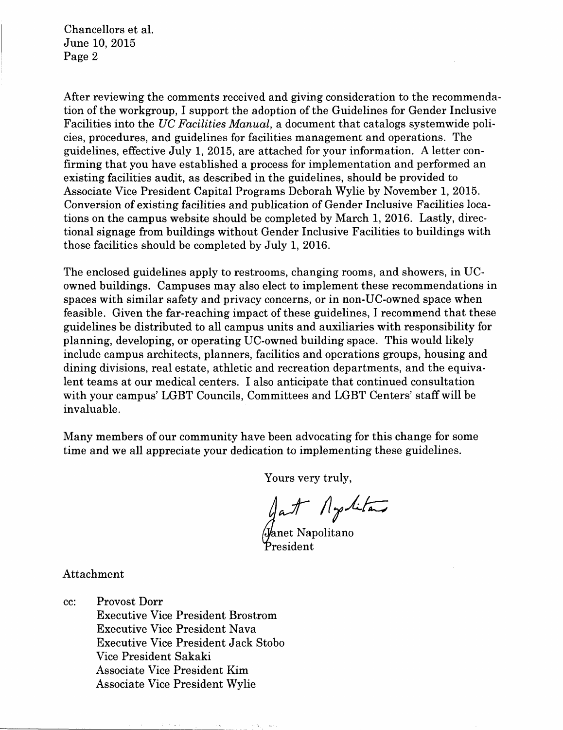Chancellors et al. June 10, 2015 Page 2

After reviewing the comments received and giving consideration to the recommendation of the workgroup, I support the adoption of the Guidelines for Gender Inclusive Facilities into the UC Facilities Manual, a document that catalogs systemwide policies, procedures, and guidelines for facilities management and operations. The guidelines, effective July 1, 2015, are attached for your information. A letter confirming that you have established a process for implementation and performed an existing facilities audit, as described in the guidelines, should be provided to Associate Vice President Capital Programs Deborah Wylie by November 1, 2015. Conversion of existing facilities and publication of Gender Inclusive Facilities locations on the campus website should be completed by March 1, 2016. Lastly, directional signage from buildings without Gender Inclusive Facilities to buildings with those facilities should be completed by July 1, 2016.

The enclosed guidelines apply to restrooms, changing rooms, and showers, in UCowned buildings. Campuses may also elect to implement these recommendations in spaces with similar safety and privacy concerns, or in non-UC-owned space when feasible. Given the far-reaching impact of these guidelines, I recommend that these guidelines be distributed to all campus units and auxiliaries with responsibility for planning, developing, or operating UC-owned building space. This would likely include campus architects, planners, facilities and operations groups, housing and dining divisions, real estate, athletic and recreation departments, and the equivalent teams at our medical centers. I also anticipate that continued consultation with your campus' LGBT Councils, Committees and LGBT Centers' staff will be invaluable.

Many members of our community have been advocating for this change for some time and we all appreciate your dedication to implementing these guidelines.

Yours very truly,

at Aptitan

'anet Napolitan resident

Attachment

CC: Provost Dorr Executive Vice President Brostrom Executive Vice President Nava Executive Vice President Jack Stobo Vice President Sakaki Associate Vice President Kim Associate Vice President Wylie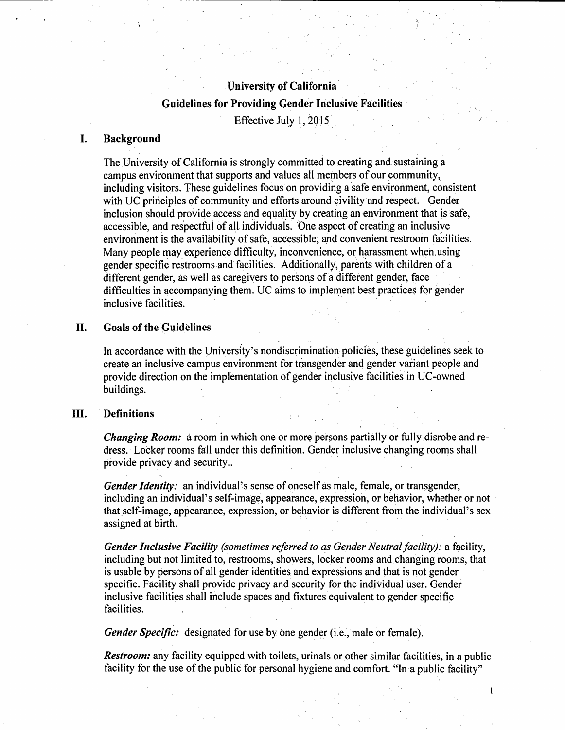## University of California

## guidelines for Providing Gender Inclusive Facilities Effective July 1, 2015,

### I. Background

The University of California is strongly committed to creating and sustaining a campus environment that supports and values all members of our community, including visitors. These guidelines focus on providing a safe environment, consistent with UC principles of community and efforts around civility and respect. Gender inclusion should provide access and equality by creating an environment that is safe, accessible, and respectful of all individuals. One aspect of creating an inclusive environment is the availability of safe, accessible, and convenient restroom facilities. Many people may experience difficulty, inconvenience, or harassment when using gender specific restrooms and facilities. Additionally, parents with children of a different gender, as well as caregivers to persons of a different gender, face difficulties in accompanying them. UC aims to implement best practices for gender inclusive facilities.

## II. Goals of the Guidelines

In accordance with the University's nondiscrimination policies, these guidelines seek to create an inclusive campus environment for transgender and gender variant people and provide direction on the implementation of gender inclusive facilities in UC-owned buildings.

## III. Definitions

Changing Room: a room in which one or more persons partially or fully disrobe and redress. Locker rooms fall under this definition. Gender inclusive changing rooms shall provide privacy and security. .

Gender Identity: an individual's sense of oneself as male, female, or transgender, including an individual's self-image, appearance, expression, or behavior, whether or not that self-image, appearance, expression, or behavior is different from the individual's sex assigned at birth.

Gender Inclusive Facility (sometimes referred to as Gender Neutral facility): a facility, including but not limited to, restrooms, showers, locker rooms and changing rooms, that is usable by persons of all gender identities and expressions and that is not gender specific. Facility shall provide privacy and security for the individual user. Gender inclusive facilities shall include spaces and fixtures equivalent to gender specific facilities.

Gender Specific: designated for use by one gender (i.e., male or female).

Restroom: any facility equipped with toilets, urinals or other similar facilities, in a public facility for the use of the public for personal hygiene and comfort. "In a public facility"

 $\mathbf{I}$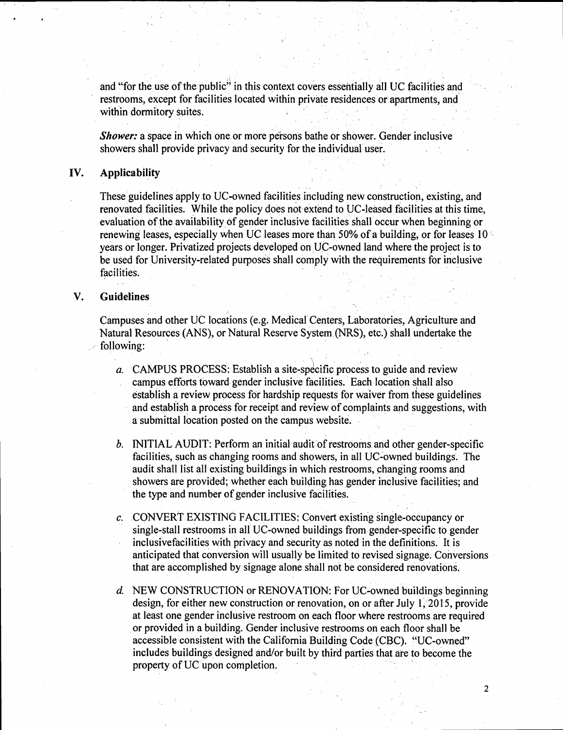and "for the use of the public" in this context covers essentially all UC facilities and restrooms, except for facilities located within private residences or apartments, and within dormitory suites,

Shower: a space in which one or more persons bathe or shower. Gender inclusive showers shall provide privacy and security for the individual user.

## IV. Applicability

These guidelines apply to UC-owned facilities including new construction, existing, and renovated facilities. While the policy does not extend to UC-leased facilities at this time, evaluation of the availability of gender inclusive facilities shall occur when beginning or renewing leases, especially when UC leases more than 50% of a building, or for leases 10 ' years or longer. Privatized projects developed on UC-owned land where the project is to be used for University-related purposes shall comply with the requirements for inclusive facilities.

## U. Guidelines

Campuses and other UC locations (e. g. Medical Centers, Laboratories, Agriculture and Natural Resources (ANS), or Natural Reserve System (NRS), etc. ) shall undertake the following:

- a. CAMPUS PROCESS: Establish a site-specific process to guide and review campus efforts toward gender inclusive facilities. Each location shall also establish a review process for hardship requests for waiver from these guidelines and establish a process for receipt and review of complaints and suggestions, with a submittal location posted on the campus website.
- b. INITIAL AUDIT: Perform an initial audit of restrooms and other gender-specific facilities, such as changing rooms and showers, in all UC-owned buildings. The audit shall list all existing buildings in which restrooms, changing rooms and showers are provided; whether each building has gender inclusive facilities; and the type and number of gender inclusive facilities.
- c. CONVERT EXISTING FACILITIES: Convert existing single-occupancy or single-stall restrooms in all UC-owned buildings from gender-specific to gender inclusivefacilities with privacy and security as noted in the definitions. It is anticipated that conversion will usually be limited to revised signage. Conversions that are accomplished by signage alone shall not be considered renovations.
- d. NEW CONSTRUCTION or RENOVATION: For UC-owned buildings beginning design, for either new construction or renovation, on or after July 1, 2015, provide at least one gender inclusive restroom on each floor where restrooms are required or provided in a building. Gender inclusive restrooms on each floor shall be accessible consistent with the California Building Code (CBC). "UC-owned" includes buildings designed and/or built by third parties that. are to become the property of UC upon completion.

 $\overline{2}$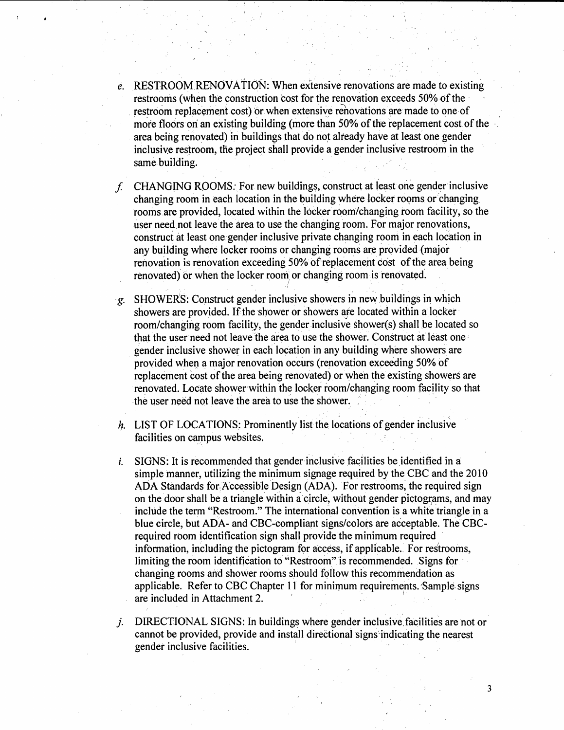- e. RESTROOM RENOVATION: When extensive renovations are made to existing restrooms (when the construction cost for the renovation exceeds 50% of the restroom replacement cost) or when extensive renovations are made to one of more floors on an existing building (more than 50% of the replacement cost of the area being renovated) in buildings that do not already have at least one gender inclusive restroom, the project shall provide a gender inclusive restroom in the same. building.
- CHANGING ROOMS: For new buildings, construct at least one gender inclusive f. changing room in each location in the building where locker rooms or changing rooms are provided, located within the locker room/changing room facility, so the user need not leave the area to use the changing room. For major renovations, construct at least one gender inclusive private changing room in each location in any building where locker rooms or changing rooms are provided (major renovation is renovation exceeding 50% of replacement cost of the area being renovated) or when the locker room or changing room is renovated.
- SHOWERS: Construct gender inclusive showers in new buildings in which g. showers are provided. If the shower or showers are located within a locker room/changing room facility, the gender inclusive shower(s) shall be located so that the user need not leave the area to use the shower. Construct at least one gender inclusive shower in each location in any building where showers are provided when a major renovation occurs (renovation exceeding 50% of replacement cost of the area being renovated) or when the existing showers are renovated. Locate shower within the locker room/changing room facility so that the user need not leave the area to use the shower.
- h. LIST OF LOCATIONS: Prominently list the locations of gender inclusive facilities on campus websites.
- SIGNS: It is recommended that gender inclusive facilities be identified in a  $\mathbf{i}$ . simple manner, utilizing the minimum signage required by the CBC and the 2010 ADA Standards for Accessible Design (ADA). For restrooms, the required sign on the door shall be a triangle within a circle, without gender pictograms, and may include the term "Restroom." The international convention is a white triangle in a blue circle, but ADA- and CBC-compliant signs/colors are acceptable. The CBCrequired room identification sign shall provide the minimum required information, including the pictogram for access, if applicable. For restrooms, limiting the room identification to "Restroom" is recommended. Signs for changing rooms and shower rooms should follow this recommendation as applicable. Refer to CBC Chapter 11 for minimum requirements. Sample signs are included in Attachment 2.
- DIRECTIONAL SIGNS: In buildings where gender inclusive facilities are not or  $\dot{J}$ . cannot be provided, provide and install directional signs-indicating the nearest gender inclusive facilities.

 $\overline{\mathbf{3}}$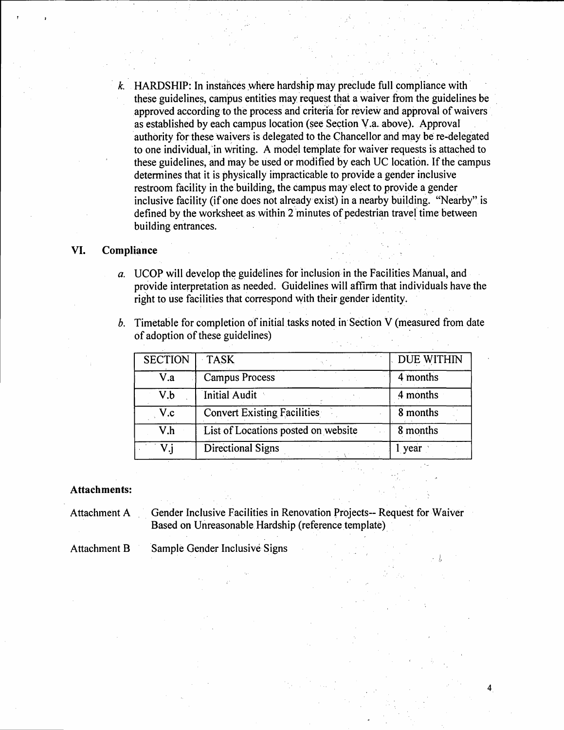$k$  HARDSHIP: In instances where hardship may preclude full compliance with these guidelines, campus entities may request that a waiver from the guidelines be approved according to the process and criteria for review and approval of waivers as established by each campus location (see Section V. a. above). Approval authority for these waivers is delegated to the Chancellor and may be re-delegated to one individual, 'in writing. A model template for waiver requests is attached to these guidelines, and may be used or modified by each UC location. If the campus determines that it is physically impracticable to provide a gender inclusive restroom facility in the building, the campus may elect to provide a gender inclusive facility (if one does not already exist) in a nearby building. "Nearby" is defined by the worksheet as within 2 minutes of pedestrian travel time between building entrances.

#### VI. Compliance

- a. UCOP will develop the guidelines for inclusion in the Facilities Manual, and provide interpretation as needed. Guidelines will affirm that individuals have the right to use facilities that correspond with their gender identity.
- b. Timetable for completion of initial tasks noted in Section V (measured from date of adoption of these guidelines)

| <b>SECTION</b> | <b>TASK</b>                         | DUE WITHIN |
|----------------|-------------------------------------|------------|
| V.a            | <b>Campus Process</b>               | 4 months   |
| V.b            | Initial Audit                       | 4 months   |
| V.c            | <b>Convert Existing Facilities</b>  | 8 months   |
| V.h            | List of Locations posted on website | 8 months   |
| V.j            | <b>Directional Signs</b>            | l year     |

4

#### Attachments:

- Attachment A Gender Inclusive Facilities in Renovation Projects-- Request for Waiver Based on Unreasonable Hardship (reference template)
- Attachment B Sample Gender Inclusive Signs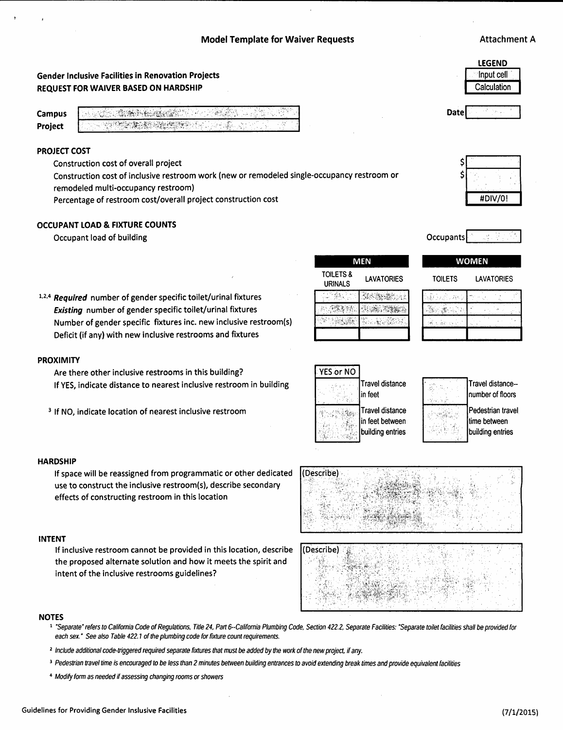## Gender Inclusive Facilities in Renovation Projects REQUEST FOR WAIVER BASED ON HARDSHIP

N S START AND ARTHUR

## PROJECT COST

Construction cost of overall project

Construction cost of inclusive restroom work (new or remodeled single-occupancy restroom or remodeled multi-occupancy restroom)

Percentage of restroom cost/overall project construction cost

#### OCCUPANT LOAD & FIXTURE COUNTS

Occupant load of building and the original control of the original control of the original control of the original control of the original control of the original control of the original control of the original control of

 $1,2,4$  Required number of gender specific toilet/urinal fixtures Existing number of gender specific toilet/urinal fixtures Number of gender specific fixtures inc. new inclusive restroom(s) Deficit (if any) with new inclusive restrooms and fixtures

#### PROXIMITY

Are there other inclusive restrooms in this building? If YES, indicate distance to nearest inclusive restroom in building

<sup>3</sup> If NO, indicate location of nearest inclusive restroom

#### **HARDSHIP**

If space will be reassigned from programmatic or other dedicated use to construct the inclusive restroom(s), describe secondary effects of constructing restroom in this location

#### INTENT

NOTES

If inclusive restroom cannot be provided in this location, describe the proposed alternate solution and how it meets the spirit and intent of the inclusive restrooms guidelines?

each sex." See also Table 422.1 of the plumbing code for fixture count requirement.

<sup>2</sup> Include additional code-triggered required separate fixtures that must be added by the work of the new project, if any.

<sup>3</sup> Pedestrian travel time is encouraged to be less than 2 minutes between building entrances to avoid extending break times and provide equivalent facilities

<sup>4</sup>Modify form as needed if assessing changing rooms or showers

| LEGEND      |  |
|-------------|--|
| Input cell  |  |
| Calculation |  |
|             |  |

Date





### **WOMEN**

**TOILETS** 

| <b>LAVATORIES</b> |
|-------------------|
|-------------------|

| ł<br>٠<br>í<br>× |  |
|------------------|--|
|                  |  |
|                  |  |
|                  |  |

| YES or NO |                                                        |
|-----------|--------------------------------------------------------|
|           | <b>Travel distance</b><br>in feet                      |
|           | Travel distance<br>in feet between<br>building entries |

URINALS

ida .

89. 金製製師

接触

**TOILETS &** 

LAVATORIES

Kasantan

**SECOND REAL PROPERTY** 

4. : 사용<br>사용 : 사용

**MEN** 

| Travel distance--<br>number of floors                 |
|-------------------------------------------------------|
| Pedestrian travel<br>time between<br>building entries |



| Describe) |  |
|-----------|--|
|           |  |
|           |  |
|           |  |
|           |  |
|           |  |